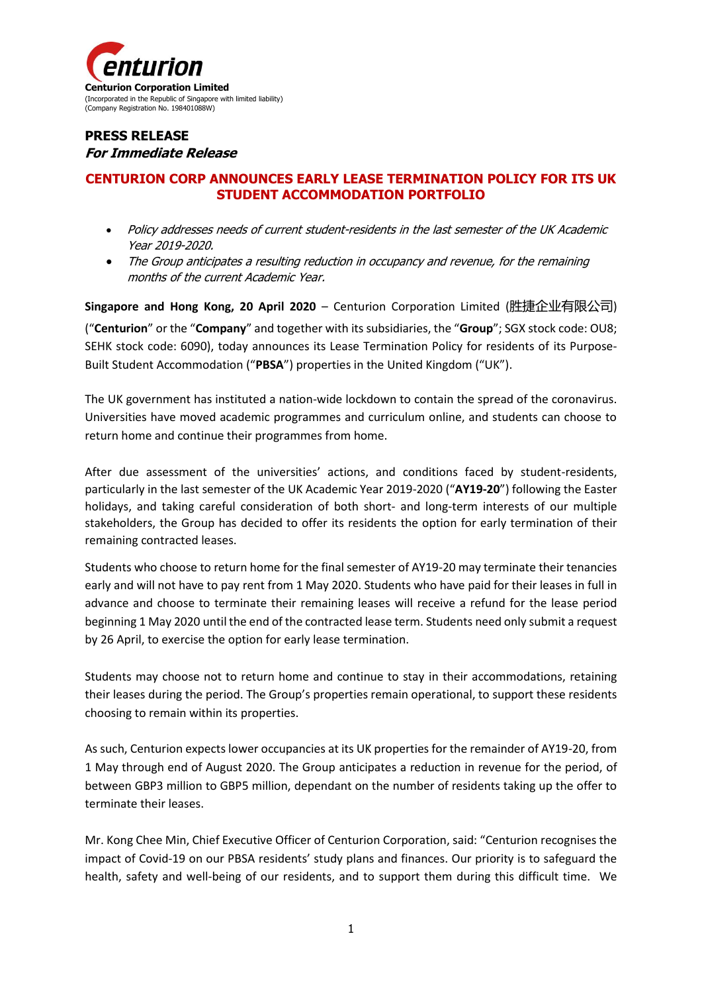

## **PRESS RELEASE For Immediate Release**

## **CENTURION CORP ANNOUNCES EARLY LEASE TERMINATION POLICY FOR ITS UK STUDENT ACCOMMODATION PORTFOLIO**

- Policy addresses needs of current student-residents in the last semester of the UK Academic Year 2019-2020.
- The Group anticipates a resulting reduction in occupancy and revenue, for the remaining months of the current Academic Year.

**Singapore and Hong Kong, 20 April 2020** – Centurion Corporation Limited (胜捷企业有限公司) ("**Centurion**" or the "**Company**" and together with its subsidiaries, the "**Group**"; SGX stock code: OU8; SEHK stock code: 6090), today announces its Lease Termination Policy for residents of its Purpose-Built Student Accommodation ("**PBSA**") properties in the United Kingdom ("UK").

The UK government has instituted a nation-wide lockdown to contain the spread of the coronavirus. Universities have moved academic programmes and curriculum online, and students can choose to return home and continue their programmes from home.

After due assessment of the universities' actions, and conditions faced by student-residents, particularly in the last semester of the UK Academic Year 2019-2020 ("**AY19-20**") following the Easter holidays, and taking careful consideration of both short- and long-term interests of our multiple stakeholders, the Group has decided to offer its residents the option for early termination of their remaining contracted leases.

Students who choose to return home for the final semester of AY19-20 may terminate their tenancies early and will not have to pay rent from 1 May 2020. Students who have paid for their leases in full in advance and choose to terminate their remaining leases will receive a refund for the lease period beginning 1 May 2020 until the end of the contracted lease term. Students need only submit a request by 26 April, to exercise the option for early lease termination.

Students may choose not to return home and continue to stay in their accommodations, retaining their leases during the period. The Group's properties remain operational, to support these residents choosing to remain within its properties.

As such, Centurion expects lower occupancies at its UK properties for the remainder of AY19-20, from 1 May through end of August 2020. The Group anticipates a reduction in revenue for the period, of between GBP3 million to GBP5 million, dependant on the number of residents taking up the offer to terminate their leases.

Mr. Kong Chee Min, Chief Executive Officer of Centurion Corporation, said: "Centurion recognises the impact of Covid-19 on our PBSA residents' study plans and finances. Our priority is to safeguard the health, safety and well-being of our residents, and to support them during this difficult time. We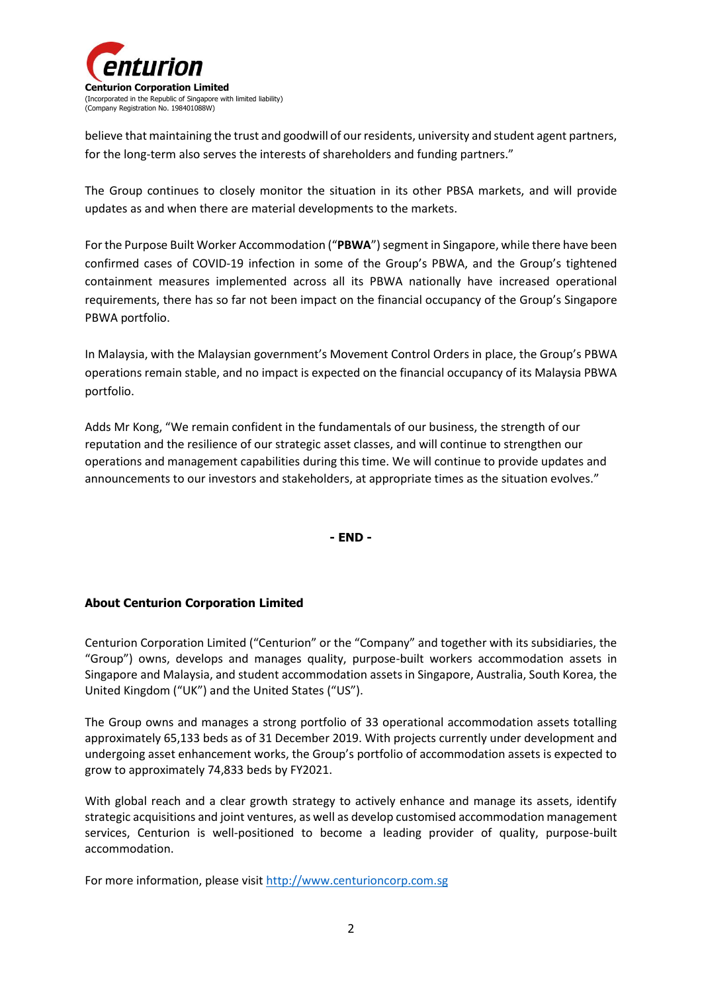

believe that maintaining the trust and goodwill of our residents, university and student agent partners, for the long-term also serves the interests of shareholders and funding partners."

The Group continues to closely monitor the situation in its other PBSA markets, and will provide updates as and when there are material developments to the markets.

For the Purpose Built Worker Accommodation ("PBWA") segment in Singapore, while there have been confirmed cases of COVID-19 infection in some of the Group's PBWA, and the Group's tightened containment measures implemented across all its PBWA nationally have increased operational requirements, there has so far not been impact on the financial occupancy of the Group's Singapore PBWA portfolio.

In Malaysia, with the Malaysian government's Movement Control Orders in place, the Group's PBWA operations remain stable, and no impact is expected on the financial occupancy of its Malaysia PBWA portfolio.

Adds Mr Kong, "We remain confident in the fundamentals of our business, the strength of our reputation and the resilience of our strategic asset classes, and will continue to strengthen our operations and management capabilities during this time. We will continue to provide updates and announcements to our investors and stakeholders, at appropriate times as the situation evolves."

**- END -**

## **About Centurion Corporation Limited**

Centurion Corporation Limited ("Centurion" or the "Company" and together with its subsidiaries, the "Group") owns, develops and manages quality, purpose-built workers accommodation assets in Singapore and Malaysia, and student accommodation assets in Singapore, Australia, South Korea, the United Kingdom ("UK") and the United States ("US").

The Group owns and manages a strong portfolio of 33 operational accommodation assets totalling approximately 65,133 beds as of 31 December 2019. With projects currently under development and undergoing asset enhancement works, the Group's portfolio of accommodation assets is expected to grow to approximately 74,833 beds by FY2021.

With global reach and a clear growth strategy to actively enhance and manage its assets, identify strategic acquisitions and joint ventures, as well as develop customised accommodation management services, Centurion is well-positioned to become a leading provider of quality, purpose-built accommodation.

For more information, please visi[t http://www.centurioncorp.com.sg](http://www.centurioncorp.com.sg/)